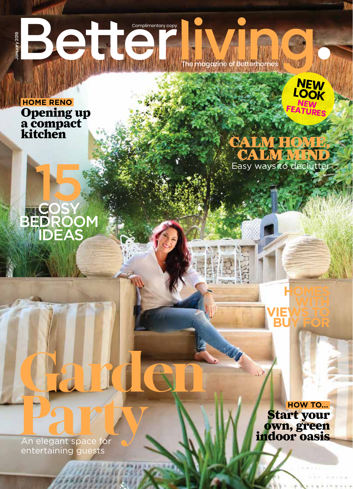SHOP | *Betterhomes Magazine* Complimentary copy **Bet** magazine of Betterhomes

**HOME RENO** Opening up a compact kitchen

**COSY** 

15

BEDROOM

IDEAS



CALM HOME **CALM MIND** Easy ways to declutter

**An elegant space for and accepted** entertaining guests

Garden

19 | *bhomes.com*

Start your own, green indoor oasis **HOW TO...**

**HOMES** 

**VIEWS TO BUY FOR**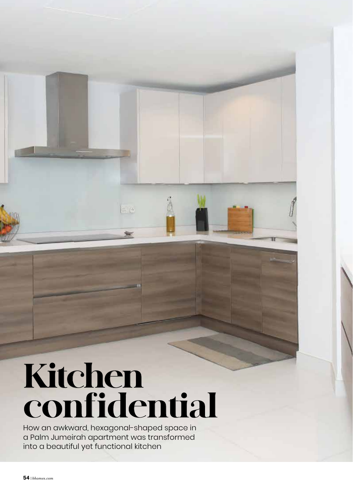

# Kitchen confidential

How an awkward, hexagonal-shaped space in a Palm Jumeirah apartment was transformed into a beautiful yet functional kitchen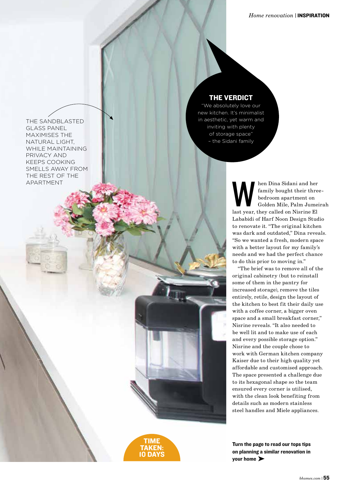THE SANDBLASTED GLASS PANEL MAXIMISES THE NATURAL LIGHT, WHILE MAINTAINING PRIVACY AND KEEPS COOKING SMELLS AWAY FROM THE REST OF THE APARTMENT

### THE VERDICT

"We absolutely love our new kitchen. It's minimalist in aesthetic, yet warm and inviting with plenty of storage space" – the Sidani family

> Men Dina Sidani and her family bought their three bedroom apartment on Golden Mile, Palm Jumei last year, they called on Nisrine El family bought their threebedroom apartment on Golden Mile, Palm Jumeirah Lababidi of Harf Noon Design Studio to renovate it. "The original kitchen was dark and outdated," Dina reveals. "So we wanted a fresh, modern space with a better layout for my family's needs and we had the perfect chance to do this prior to moving in."

"The brief was to remove all of the original cabinetry (but to reinstall some of them in the pantry for increased storage), remove the tiles entirely, retile, design the layout of the kitchen to best fit their daily use with a coffee corner, a bigger oven space and a small breakfast corner," Nisrine reveals. "It also needed to be well lit and to make use of each and every possible storage option." Nisrine and the couple chose to work with German kitchen company Kaiser due to their high quality yet affordable and customised approach. The space presented a challenge due to its hexagonal shape so the team ensured every corner is utilised, with the clean look benefiting from details such as modern stainless steel handles and Miele appliances.

Turn the page to read our tops tips on planning a similar renovation in your home ▶

TIME TAKEN: 10 DAYS